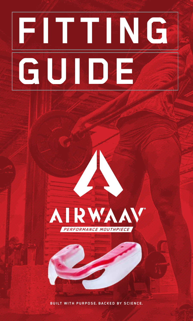# **FITTING GUIDE**



**BUILT WITH PURPOSE, BACKED BY SCIENCE.**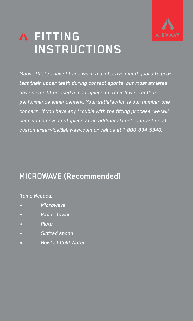

# **FITTING INSTRUCTIONS**

Many athletes have fit and worn a protective mouthguard to protect their upper teeth during contact sports, but most athletes have never fit or used a mouthpiece on their lower teeth for performance enhancement. Your satisfaction is our number one concern. If you have any trouble with the fitting process, we will send you a new mouthpiece at no additional cost. Contact us at customerservice@airwaav.com or call us at 1-800-894-5340.

### **MICROWAVE (Recommended)**

#### Items Needed:

- » Microwave
- » Paper Towel
- » Plate
- » Slotted spoon
- » Bowl Of Cold Water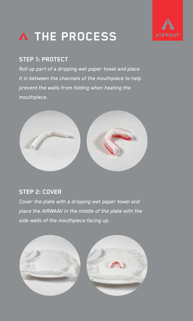



#### **STEP 1: PROTECT**

Roll up part of a dripping wet paper towel and place it in between the channels of the mouthpiece to help prevent the walls from folding when heating the mouthpiece.



#### **STEP 2: COVER**

Cover the plate with a dripping wet paper towel and place the AIRWAAV in the middle of the plate with the side walls of the mouthpiece facing up.

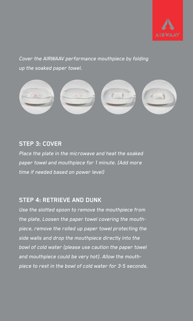

#### Cover the AIRWAAV performance mouthpiece by folding up the soaked paper towel.



#### **STEP 3: COVER**

Place the plate in the microwave and heat the soaked paper towel and mouthpiece for 1 minute. (Add more time if needed based on power level)

#### **STEP 4: RETRIEVE AND DUNK**

Use the slotted spoon to remove the mouthpiece from the plate, Loosen the paper towel covering the mouthpiece, remove the rolled up paper towel protecting the side walls and drop the mouthpiece directly into the bowl of cold water (please use caution the paper towel and mouthpiece could be very hot). Allow the mouthpiece to rest in the bowl of cold water for 3-5 seconds.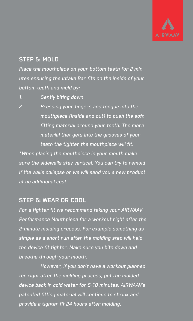

#### **STEP 5: MOLD**

Place the mouthpiece on your bottom teeth for 2 minutes ensuring the Intake Bar fits on the inside of your bottom teeth and mold by:

- 1. Gently biting down
- 2. Pressing your fingers and tongue into the mouthpiece (inside and out) to push the soft fitting material around your teeth. The more material that gets into the grooves of your teeth the tighter the mouthpiece will fit.

\*When placing the mouthpiece in your mouth make sure the sidewalls stay vertical. You can try to remold if the walls collapse or we will send you a new product at no additional cost.

#### **STEP 6: WEAR OR COOL**

For a tighter fit we recommend taking your AIRWAAV Performance Mouthpiece for a workout right after the 2-minute molding process. For example something as simple as a short run after the molding step will help the device fit tighter. Make sure you bite down and breathe through your mouth.

However, if you don't have a workout planned for right after the molding process, put the molded device back in cold water for 5-10 minutes. AIRWAAV's patented fitting material will continue to shrink and provide a tighter fit 24 hours after molding.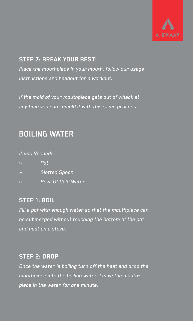

#### **STEP 7: BREAK YOUR BEST!**

Place the mouthpiece in your mouth, follow our usage instructions and headout for a workout.

If the mold of your mouthpiece gets out of whack at any time you can remold it with this same process.

## **BOILING WATER**

#### Items Needed:

| ≫  | Pot                       |
|----|---------------------------|
| ≫  | <b>Slotted Spoon</b>      |
| X. | <b>Bowl Of Cold Water</b> |

#### **STEP 1: BOIL**

Fill a pot with enough water so that the mouthpiece can be submerged without touching the bottom of the pot and heat on a stove.

#### **STEP 2: DROP**

Once the water is boiling turn off the heat and drop the mouthpiece into the boiling water. Leave the mouthpiece in the water for one minute.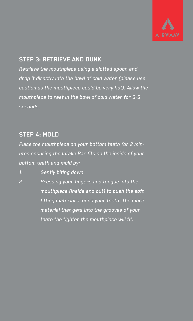

#### **STEP 3: RETRIEVE AND DUNK**

Retrieve the mouthpiece using a slotted spoon and drop it directly into the bowl of cold water (please use caution as the mouthpiece could be very hot). Allow the mouthpiece to rest in the bowl of cold water for 3-5 seconds.

#### **STEP 4: MOLD**

Place the mouthpiece on your bottom teeth for 2 minutes ensuring the Intake Bar fits on the inside of your bottom teeth and mold by:

1. Gently biting down

2. Pressing your fingers and tongue into the mouthpiece (inside and out) to push the soft fitting material around your teeth. The more material that gets into the grooves of your teeth the tighter the mouthpiece will fit.